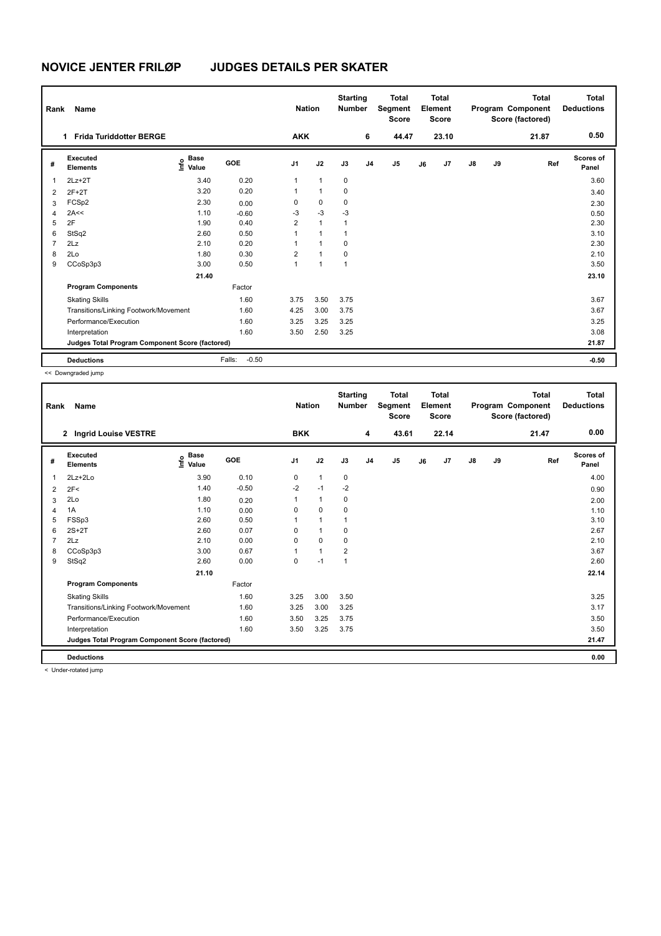# **NOVICE JENTER FRILØP JUDGES DETAILS PER SKATER**

| Rank           | Name                                            |                              |                   | <b>Nation</b>  |                | <b>Starting</b><br><b>Number</b> |                | <b>Total</b><br>Segment<br><b>Score</b> |    | Total<br>Element<br><b>Score</b> |               |    | <b>Total</b><br>Program Component<br>Score (factored) | <b>Total</b><br><b>Deductions</b> |
|----------------|-------------------------------------------------|------------------------------|-------------------|----------------|----------------|----------------------------------|----------------|-----------------------------------------|----|----------------------------------|---------------|----|-------------------------------------------------------|-----------------------------------|
|                | <b>Frida Turiddotter BERGE</b><br>1             |                              |                   | <b>AKK</b>     |                |                                  | 6              | 44.47                                   |    | 23.10                            |               |    | 21.87                                                 | 0.50                              |
| #              | Executed<br><b>Elements</b>                     | <b>Base</b><br>Info<br>Value | <b>GOE</b>        | J <sub>1</sub> | J2             | J3                               | J <sub>4</sub> | J5                                      | J6 | J <sub>7</sub>                   | $\mathsf{J}8$ | J9 | Ref                                                   | Scores of<br>Panel                |
| $\overline{1}$ | $2Lz+2T$                                        | 3.40                         | 0.20              | $\mathbf{1}$   | $\mathbf{1}$   | $\pmb{0}$                        |                |                                         |    |                                  |               |    |                                                       | 3.60                              |
| $\overline{2}$ | $2F+2T$                                         | 3.20                         | 0.20              | 1              | $\mathbf{1}$   | 0                                |                |                                         |    |                                  |               |    |                                                       | 3.40                              |
| 3              | FCSp2                                           | 2.30                         | 0.00              | 0              | $\mathbf 0$    | 0                                |                |                                         |    |                                  |               |    |                                                       | 2.30                              |
| $\overline{4}$ | 2A<<                                            | 1.10                         | $-0.60$           | $-3$           | $-3$           | $-3$                             |                |                                         |    |                                  |               |    |                                                       | 0.50                              |
| 5              | 2F                                              | 1.90                         | 0.40              | 2              | $\mathbf{1}$   | $\mathbf{1}$                     |                |                                         |    |                                  |               |    |                                                       | 2.30                              |
| 6              | StSq2                                           | 2.60                         | 0.50              | 1              | $\mathbf{1}$   | $\mathbf{1}$                     |                |                                         |    |                                  |               |    |                                                       | 3.10                              |
| $\overline{7}$ | 2Lz                                             | 2.10                         | 0.20              | 1              | $\mathbf{1}$   | 0                                |                |                                         |    |                                  |               |    |                                                       | 2.30                              |
| 8              | 2Lo                                             | 1.80                         | 0.30              | $\overline{2}$ | $\overline{1}$ | 0                                |                |                                         |    |                                  |               |    |                                                       | 2.10                              |
| 9              | CCoSp3p3                                        | 3.00                         | 0.50              | 1              | $\mathbf{1}$   | $\mathbf{1}$                     |                |                                         |    |                                  |               |    |                                                       | 3.50                              |
|                |                                                 | 21.40                        |                   |                |                |                                  |                |                                         |    |                                  |               |    |                                                       | 23.10                             |
|                | <b>Program Components</b>                       |                              | Factor            |                |                |                                  |                |                                         |    |                                  |               |    |                                                       |                                   |
|                | <b>Skating Skills</b>                           |                              | 1.60              | 3.75           | 3.50           | 3.75                             |                |                                         |    |                                  |               |    |                                                       | 3.67                              |
|                | Transitions/Linking Footwork/Movement           |                              | 1.60              | 4.25           | 3.00           | 3.75                             |                |                                         |    |                                  |               |    |                                                       | 3.67                              |
|                | Performance/Execution                           |                              | 1.60              | 3.25           | 3.25           | 3.25                             |                |                                         |    |                                  |               |    |                                                       | 3.25                              |
|                | Interpretation                                  |                              | 1.60              | 3.50           | 2.50           | 3.25                             |                |                                         |    |                                  |               |    |                                                       | 3.08                              |
|                | Judges Total Program Component Score (factored) |                              |                   |                |                |                                  |                |                                         |    |                                  |               |    |                                                       | 21.87                             |
|                | <b>Deductions</b>                               |                              | $-0.50$<br>Falls: |                |                |                                  |                |                                         |    |                                  |               |    |                                                       | $-0.50$                           |

<< Downgraded jump

| Rank | Name                                            |                            |         | <b>Nation</b>  |              | <b>Starting</b><br><b>Number</b> |                | <b>Total</b><br>Segment<br><b>Score</b> |    | <b>Total</b><br>Element<br><b>Score</b> |               |    | <b>Total</b><br>Program Component<br>Score (factored) | <b>Total</b><br><b>Deductions</b> |
|------|-------------------------------------------------|----------------------------|---------|----------------|--------------|----------------------------------|----------------|-----------------------------------------|----|-----------------------------------------|---------------|----|-------------------------------------------------------|-----------------------------------|
|      | 2 Ingrid Louise VESTRE                          |                            |         | <b>BKK</b>     |              |                                  | 4              | 43.61                                   |    | 22.14                                   |               |    | 21.47                                                 | 0.00                              |
| #    | Executed<br><b>Elements</b>                     | <b>Base</b><br>١m<br>Value | GOE     | J <sub>1</sub> | J2           | J3                               | J <sub>4</sub> | J5                                      | J6 | J7                                      | $\mathsf{J}8$ | J9 | Ref                                                   | <b>Scores of</b><br>Panel         |
| 1    | $2Lz + 2Lo$                                     | 3.90                       | 0.10    | 0              | $\mathbf{1}$ | 0                                |                |                                         |    |                                         |               |    |                                                       | 4.00                              |
| 2    | 2F<                                             | 1.40                       | $-0.50$ | $-2$           | $-1$         | $-2$                             |                |                                         |    |                                         |               |    |                                                       | 0.90                              |
| 3    | 2Lo                                             | 1.80                       | 0.20    |                | $\mathbf{1}$ | 0                                |                |                                         |    |                                         |               |    |                                                       | 2.00                              |
| 4    | 1A                                              | 1.10                       | 0.00    | $\Omega$       | 0            | $\Omega$                         |                |                                         |    |                                         |               |    |                                                       | 1.10                              |
| 5    | FSSp3                                           | 2.60                       | 0.50    |                | $\mathbf{1}$ |                                  |                |                                         |    |                                         |               |    |                                                       | 3.10                              |
| 6    | $2S+2T$                                         | 2.60                       | 0.07    | 0              | $\mathbf{1}$ | 0                                |                |                                         |    |                                         |               |    |                                                       | 2.67                              |
| 7    | 2Lz                                             | 2.10                       | 0.00    | 0              | 0            | 0                                |                |                                         |    |                                         |               |    |                                                       | 2.10                              |
| 8    | CCoSp3p3                                        | 3.00                       | 0.67    |                | $\mathbf{1}$ | $\overline{2}$                   |                |                                         |    |                                         |               |    |                                                       | 3.67                              |
| 9    | StSq2                                           | 2.60                       | 0.00    | $\Omega$       | $-1$         | $\overline{1}$                   |                |                                         |    |                                         |               |    |                                                       | 2.60                              |
|      |                                                 | 21.10                      |         |                |              |                                  |                |                                         |    |                                         |               |    |                                                       | 22.14                             |
|      | <b>Program Components</b>                       |                            | Factor  |                |              |                                  |                |                                         |    |                                         |               |    |                                                       |                                   |
|      | <b>Skating Skills</b>                           |                            | 1.60    | 3.25           | 3.00         | 3.50                             |                |                                         |    |                                         |               |    |                                                       | 3.25                              |
|      | Transitions/Linking Footwork/Movement           |                            | 1.60    | 3.25           | 3.00         | 3.25                             |                |                                         |    |                                         |               |    |                                                       | 3.17                              |
|      | Performance/Execution                           |                            | 1.60    | 3.50           | 3.25         | 3.75                             |                |                                         |    |                                         |               |    |                                                       | 3.50                              |
|      | Interpretation                                  |                            | 1.60    | 3.50           | 3.25         | 3.75                             |                |                                         |    |                                         |               |    |                                                       | 3.50                              |
|      | Judges Total Program Component Score (factored) |                            |         |                |              |                                  |                |                                         |    |                                         |               |    |                                                       | 21.47                             |
|      | <b>Deductions</b>                               |                            |         |                |              |                                  |                |                                         |    |                                         |               |    |                                                       | 0.00                              |

< Under-rotated jump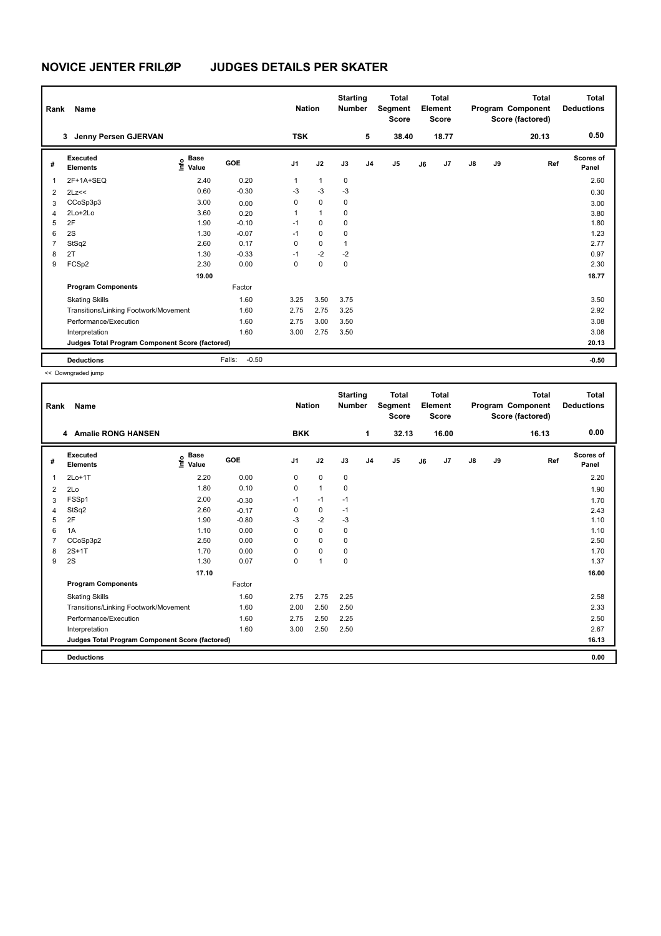## **NOVICE JENTER FRILØP JUDGES DETAILS PER SKATER**

| Rank           | Name                                            |                              |                   | <b>Nation</b>  |              | <b>Starting</b><br><b>Number</b> |                | <b>Total</b><br>Segment<br><b>Score</b> |    | <b>Total</b><br>Element<br><b>Score</b> |               |    | <b>Total</b><br>Program Component<br>Score (factored) | <b>Total</b><br><b>Deductions</b> |
|----------------|-------------------------------------------------|------------------------------|-------------------|----------------|--------------|----------------------------------|----------------|-----------------------------------------|----|-----------------------------------------|---------------|----|-------------------------------------------------------|-----------------------------------|
|                | Jenny Persen GJERVAN<br>3                       |                              |                   | <b>TSK</b>     |              |                                  | 5              | 38.40                                   |    | 18.77                                   |               |    | 20.13                                                 | 0.50                              |
| #              | Executed<br><b>Elements</b>                     | <b>Base</b><br>١nfo<br>Value | <b>GOE</b>        | J <sub>1</sub> | J2           | J3                               | J <sub>4</sub> | J <sub>5</sub>                          | J6 | J7                                      | $\mathsf{J}8$ | J9 | Ref                                                   | Scores of<br>Panel                |
| $\overline{1}$ | 2F+1A+SEQ                                       | 2.40                         | 0.20              | 1              | $\mathbf{1}$ | $\mathbf 0$                      |                |                                         |    |                                         |               |    |                                                       | 2.60                              |
| $\overline{2}$ | 2Lz<<                                           | 0.60                         | $-0.30$           | $-3$           | $-3$         | -3                               |                |                                         |    |                                         |               |    |                                                       | 0.30                              |
| 3              | CCoSp3p3                                        | 3.00                         | 0.00              | 0              | $\mathbf 0$  | 0                                |                |                                         |    |                                         |               |    |                                                       | 3.00                              |
| 4              | $2Lo+2Lo$                                       | 3.60                         | 0.20              | 1              | $\mathbf{1}$ | 0                                |                |                                         |    |                                         |               |    |                                                       | 3.80                              |
| 5              | 2F                                              | 1.90                         | $-0.10$           | $-1$           | $\Omega$     | $\mathbf 0$                      |                |                                         |    |                                         |               |    |                                                       | 1.80                              |
| 6              | 2S                                              | 1.30                         | $-0.07$           | $-1$           | $\mathbf 0$  | $\mathbf 0$                      |                |                                         |    |                                         |               |    |                                                       | 1.23                              |
| $\overline{7}$ | StSq2                                           | 2.60                         | 0.17              | 0              | $\mathbf 0$  | $\mathbf{1}$                     |                |                                         |    |                                         |               |    |                                                       | 2.77                              |
| 8              | 2T                                              | 1.30                         | $-0.33$           | $-1$           | $-2$         | $-2$                             |                |                                         |    |                                         |               |    |                                                       | 0.97                              |
| 9              | FCSp2                                           | 2.30                         | 0.00              | $\Omega$       | $\Omega$     | $\mathbf 0$                      |                |                                         |    |                                         |               |    |                                                       | 2.30                              |
|                |                                                 | 19.00                        |                   |                |              |                                  |                |                                         |    |                                         |               |    |                                                       | 18.77                             |
|                | <b>Program Components</b>                       |                              | Factor            |                |              |                                  |                |                                         |    |                                         |               |    |                                                       |                                   |
|                | <b>Skating Skills</b>                           |                              | 1.60              | 3.25           | 3.50         | 3.75                             |                |                                         |    |                                         |               |    |                                                       | 3.50                              |
|                | Transitions/Linking Footwork/Movement           |                              | 1.60              | 2.75           | 2.75         | 3.25                             |                |                                         |    |                                         |               |    |                                                       | 2.92                              |
|                | Performance/Execution                           |                              | 1.60              | 2.75           | 3.00         | 3.50                             |                |                                         |    |                                         |               |    |                                                       | 3.08                              |
|                | Interpretation                                  |                              | 1.60              | 3.00           | 2.75         | 3.50                             |                |                                         |    |                                         |               |    |                                                       | 3.08                              |
|                | Judges Total Program Component Score (factored) |                              |                   |                |              |                                  |                |                                         |    |                                         |               |    |                                                       | 20.13                             |
|                | <b>Deductions</b>                               |                              | $-0.50$<br>Falls: |                |              |                                  |                |                                         |    |                                         |               |    |                                                       | $-0.50$                           |

<< Downgraded jump

| Rank           | Name                                            |                                  |            | <b>Nation</b>  |                | <b>Starting</b><br><b>Number</b> |                | <b>Total</b><br>Segment<br><b>Score</b> |    | <b>Total</b><br>Element<br><b>Score</b> |               |    | <b>Total</b><br>Program Component<br>Score (factored) | <b>Total</b><br><b>Deductions</b> |
|----------------|-------------------------------------------------|----------------------------------|------------|----------------|----------------|----------------------------------|----------------|-----------------------------------------|----|-----------------------------------------|---------------|----|-------------------------------------------------------|-----------------------------------|
|                | 4 Amalie RONG HANSEN                            |                                  |            | <b>BKK</b>     |                |                                  | 1              | 32.13                                   |    | 16.00                                   |               |    | 16.13                                                 | 0.00                              |
| #              | Executed<br><b>Elements</b>                     | <b>Base</b><br>e Base<br>E Value | <b>GOE</b> | J <sub>1</sub> | J2             | J3                               | J <sub>4</sub> | J <sub>5</sub>                          | J6 | J <sub>7</sub>                          | $\mathsf{J}8$ | J9 | Ref                                                   | <b>Scores of</b><br>Panel         |
| 1              | $2Lo+1T$                                        | 2.20                             | 0.00       | 0              | 0              | 0                                |                |                                         |    |                                         |               |    |                                                       | 2.20                              |
| 2              | 2Lo                                             | 1.80                             | 0.10       | 0              | $\mathbf{1}$   | $\mathbf 0$                      |                |                                         |    |                                         |               |    |                                                       | 1.90                              |
| 3              | FSSp1                                           | 2.00                             | $-0.30$    | $-1$           | $-1$           | $-1$                             |                |                                         |    |                                         |               |    |                                                       | 1.70                              |
| $\overline{4}$ | StSq2                                           | 2.60                             | $-0.17$    | 0              | 0              | $-1$                             |                |                                         |    |                                         |               |    |                                                       | 2.43                              |
| 5              | 2F                                              | 1.90                             | $-0.80$    | -3             | $-2$           | $-3$                             |                |                                         |    |                                         |               |    |                                                       | 1.10                              |
| 6              | 1A                                              | 1.10                             | 0.00       | $\Omega$       | $\mathbf 0$    | $\mathbf 0$                      |                |                                         |    |                                         |               |    |                                                       | 1.10                              |
| 7              | CCoSp3p2                                        | 2.50                             | 0.00       | 0              | $\mathbf 0$    | $\mathbf 0$                      |                |                                         |    |                                         |               |    |                                                       | 2.50                              |
| 8              | $2S+1T$                                         | 1.70                             | 0.00       | 0              | $\mathbf 0$    | $\mathbf 0$                      |                |                                         |    |                                         |               |    |                                                       | 1.70                              |
| 9              | 2S                                              | 1.30                             | 0.07       | 0              | $\overline{1}$ | $\mathbf 0$                      |                |                                         |    |                                         |               |    |                                                       | 1.37                              |
|                |                                                 | 17.10                            |            |                |                |                                  |                |                                         |    |                                         |               |    |                                                       | 16.00                             |
|                | <b>Program Components</b>                       |                                  | Factor     |                |                |                                  |                |                                         |    |                                         |               |    |                                                       |                                   |
|                | <b>Skating Skills</b>                           |                                  | 1.60       | 2.75           | 2.75           | 2.25                             |                |                                         |    |                                         |               |    |                                                       | 2.58                              |
|                | Transitions/Linking Footwork/Movement           |                                  | 1.60       | 2.00           | 2.50           | 2.50                             |                |                                         |    |                                         |               |    |                                                       | 2.33                              |
|                | Performance/Execution                           |                                  | 1.60       | 2.75           | 2.50           | 2.25                             |                |                                         |    |                                         |               |    |                                                       | 2.50                              |
|                | Interpretation                                  |                                  | 1.60       | 3.00           | 2.50           | 2.50                             |                |                                         |    |                                         |               |    |                                                       | 2.67                              |
|                | Judges Total Program Component Score (factored) |                                  |            |                |                |                                  |                |                                         |    |                                         |               |    |                                                       | 16.13                             |
|                | <b>Deductions</b>                               |                                  |            |                |                |                                  |                |                                         |    |                                         |               |    |                                                       | 0.00                              |